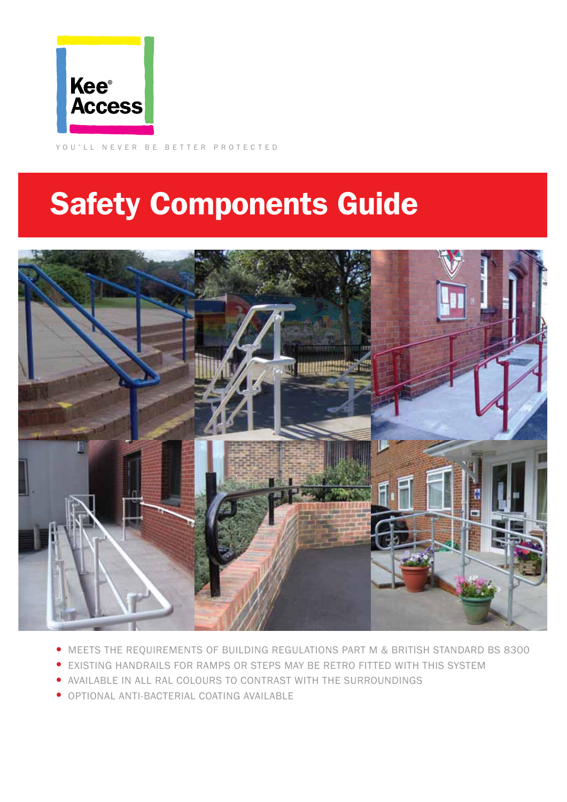

YOU'LL NEVER BE BETTER PROTECTED

## Safety Components Guide



- MEETS THE REQUIREMENTS OF BUILDING REGULATIONS PART M & BRITISH STANDARD BS 8300
- EXISTING HANDRAILS FOR RAMPS OR STEPS MAY BE RETRO FITTED WITH THIS SYSTEM
- AVAILABLE IN ALL RAL COLOURS TO CONTRAST WITH THE SURROUNDINGS
- OPTIONAL ANTI-BACTERIAL COATING AVAILABLE